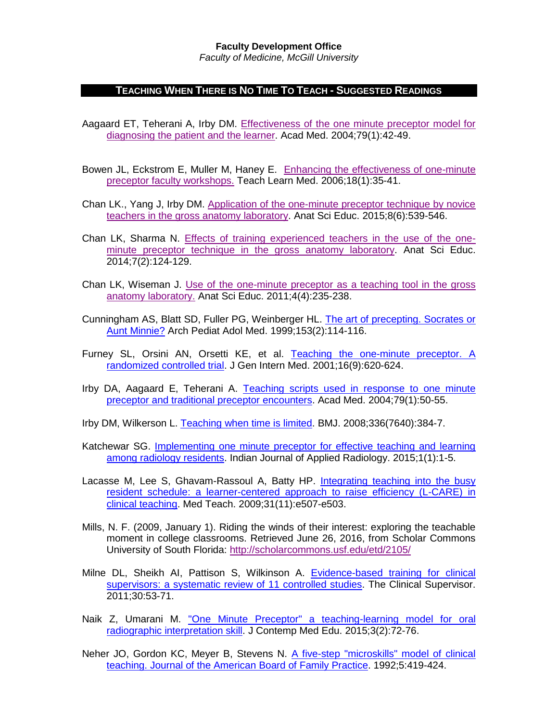## **Faculty Development Office**

*Faculty of Medicine, McGill University*

## **TEACHING WHEN THERE IS NO TIME TO TEACH - SUGGESTED READINGS**

- Aagaard ET, Teherani A, Irby DM. [Effectiveness of the one minute preceptor model for](http://www.ncbi.nlm.nih.gov/pubmed/?term=Aagaard%2C+E.+T.+Effectiveness+of+the+one+minute+preceptor+model+for+diagnosing+the+patient+and+the+learner.+ACAD+MED.+2004%3B79%3A42-49.)  [diagnosing the patient and](http://www.ncbi.nlm.nih.gov/pubmed/?term=Aagaard%2C+E.+T.+Effectiveness+of+the+one+minute+preceptor+model+for+diagnosing+the+patient+and+the+learner.+ACAD+MED.+2004%3B79%3A42-49.) the learner. Acad Med. 2004;79(1):42-49.
- Bowen JL, Eckstrom E, Muller M, Haney E. Enhancing the effectiveness of one-minute [preceptor faculty workshops.](http://www.ncbi.nlm.nih.gov/pubmed/?term=Bowen%2C+J.+L.+Enhancing+the+effectiveness+of+one-minute+preceptor+faculty+workshops.+TEACH+LEARN+MED.+2006%3B18%3A35-41.) Teach Learn Med. 2006;18(1):35-41.
- Chan LK., Yang J, Irby DM. [Application of the one-minute preceptor technique by novice](http://www.ncbi.nlm.nih.gov/pubmed/?term=Chan%2C+L.+K.+Application+of+the+one-minute+preceptor+technique+by+novice+teachers+in+the+gross+anatomy+laboratory.)  [teachers in the gross anatomy laboratory.](http://www.ncbi.nlm.nih.gov/pubmed/?term=Chan%2C+L.+K.+Application+of+the+one-minute+preceptor+technique+by+novice+teachers+in+the+gross+anatomy+laboratory.) Anat Sci Educ. 2015;8(6):539-546.
- Chan LK, Sharma N. [Effects of training experienced teachers in the use of the one](http://www.ncbi.nlm.nih.gov/pubmed/23864286)[minute preceptor technique in the gross anatomy laboratory.](http://www.ncbi.nlm.nih.gov/pubmed/23864286) Anat Sci Educ. 2014;7(2):124-129.
- Chan LK, Wiseman J. Use of the one-minute [preceptor as a teaching tool in the gross](http://www.ncbi.nlm.nih.gov/pubmed/?term=Chan%2C+L.+K.+Use+of+the+one-minute+preceptor+as+a+teaching+tool+in+the+gross+anatomy+laboratory.+ANAT+SCI+EDUC.+2011%3B4(4)%3A235-238.)  [anatomy laboratory.](http://www.ncbi.nlm.nih.gov/pubmed/?term=Chan%2C+L.+K.+Use+of+the+one-minute+preceptor+as+a+teaching+tool+in+the+gross+anatomy+laboratory.+ANAT+SCI+EDUC.+2011%3B4(4)%3A235-238.) Anat Sci Educ. 2011;4(4):235-238.
- Cunningham AS, Blatt SD, Fuller PG, Weinberger HL. [The art of precepting. Socrates or](http://www.ncbi.nlm.nih.gov/pubmed/?term=Cunningham%2C+A.+S.+The+art+of+precepting.+Socrates+or+Aunt+Minnie%3F+ARCH+PEDIAT+ADOL+MED.+1999%3B153%3A114-116)  [Aunt Minnie?](http://www.ncbi.nlm.nih.gov/pubmed/?term=Cunningham%2C+A.+S.+The+art+of+precepting.+Socrates+or+Aunt+Minnie%3F+ARCH+PEDIAT+ADOL+MED.+1999%3B153%3A114-116) Arch Pediat Adol Med. 1999;153(2):114-116.
- Furney SL, Orsini AN, Orsetti KE, et al. [Teaching the one-minute preceptor. A](http://www.ncbi.nlm.nih.gov/pubmed/?term=Furney%2C+S.+L.+Teaching+the+one-minute+preceptor.+A+randomized+controlled+trial.+Journal+of+General+Internal+Medicine.+2001%3B16(9)%3A620-624.)  [randomized controlled trial.](http://www.ncbi.nlm.nih.gov/pubmed/?term=Furney%2C+S.+L.+Teaching+the+one-minute+preceptor.+A+randomized+controlled+trial.+Journal+of+General+Internal+Medicine.+2001%3B16(9)%3A620-624.) J Gen Intern Med. 2001;16(9):620-624.
- Irby DA, Aagaard E, Teherani A. [Teaching scripts used in response to one minute](http://www.ncbi.nlm.nih.gov/pubmed/?term=Irby%2C+D.+A.+%282004%29.+Teaching+scripts+used+in+response+to+one+minute+preceptor+and+traditional+preceptor+encounters.+ACAD+MED.+2004%3B79%3A50-55&p%24a=&p%24l=DefaultSite&p%24st=onerror)  [preceptor and traditional preceptor encounters.](http://www.ncbi.nlm.nih.gov/pubmed/?term=Irby%2C+D.+A.+%282004%29.+Teaching+scripts+used+in+response+to+one+minute+preceptor+and+traditional+preceptor+encounters.+ACAD+MED.+2004%3B79%3A50-55&p%24a=&p%24l=DefaultSite&p%24st=onerror) Acad Med. 2004;79(1):50-55.
- Irby DM, Wilkerson L. [Teaching when time is limited.](http://www.ncbi.nlm.nih.gov/pubmed/?term=Irby%2C+D.+M.+Teaching+when+time+is+limited.) BMJ. 2008;336(7640):384-7.
- Katchewar SG. Implementing one minute preceptor for effective teaching and learning [among radiology residents.](http://www.opensciencepublications.com/wp-content/uploads/IJAR-1-104.pdf) Indian Journal of Applied Radiology. 2015;1(1):1-5.
- Lacasse M, Lee S, Ghavam-Rassoul A, Batty HP. [Integrating teaching into the busy](http://www.ncbi.nlm.nih.gov/pubmed/?term=Lacasse%2C+M.+L.-R.+Integrating+teaching+into+the+busy+resident+schedule%3A+a+learner-centered+approach+to+raise+efficiency+(L-CARE)+in+clinical+teaching.+Medical+Teacher.+2009%3B31(11)%3Ae507-e503.)  [resident schedule: a learner-centered approach to raise efficiency \(L-CARE\) in](http://www.ncbi.nlm.nih.gov/pubmed/?term=Lacasse%2C+M.+L.-R.+Integrating+teaching+into+the+busy+resident+schedule%3A+a+learner-centered+approach+to+raise+efficiency+(L-CARE)+in+clinical+teaching.+Medical+Teacher.+2009%3B31(11)%3Ae507-e503.)  [clinical teaching.](http://www.ncbi.nlm.nih.gov/pubmed/?term=Lacasse%2C+M.+L.-R.+Integrating+teaching+into+the+busy+resident+schedule%3A+a+learner-centered+approach+to+raise+efficiency+(L-CARE)+in+clinical+teaching.+Medical+Teacher.+2009%3B31(11)%3Ae507-e503.) Med Teach. 2009;31(11):e507-e503.
- Mills, N. F. (2009, January 1). Riding the winds of their interest: exploring the teachable moment in college classrooms. Retrieved June 26, 2016, from Scholar Commons University of South Florida:<http://scholarcommons.usf.edu/etd/2105/>
- Milne DL, Sheikh AI, Pattison S, Wilkinson A. Evidence-based training for clinical [supervisors: a systematic review of 11 controlled studies.](http://www.med.monash.edu.au/assets/docs/scs/psychiatry/evidence-based-training-clinical-supervisors.pdf) The Clinical Supervisor. 2011;30:53-71.
- Naik Z, Umarani M. "One Minute Preceptor" a teaching-learning model for oral [radiographic interpretation skill.](http://www.scopemed.org/?mno=188282) J Contemp Med Edu. 2015;3(2):72-76.
- Neher JO, Gordon KC, Meyer B, Stevens N. [A five-step "microskills" model of clinical](http://www.ncbi.nlm.nih.gov/pubmed/?term=Neher%2C+J.+O.+A+five-step+%22microskills%22+model+of+clinical+teaching.+Journal+of+the+American+Board+of+Family+Practice.+1992%3B5%3A419-424.)  [teaching. Journal of the American Board of Family Practice.](http://www.ncbi.nlm.nih.gov/pubmed/?term=Neher%2C+J.+O.+A+five-step+%22microskills%22+model+of+clinical+teaching.+Journal+of+the+American+Board+of+Family+Practice.+1992%3B5%3A419-424.) 1992;5:419-424.